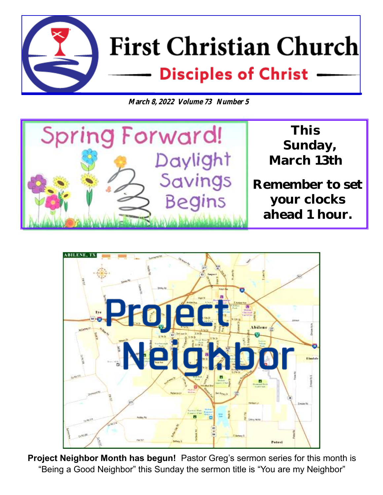

**March 8, 2022 Volume 73 Number 5**





**Project Neighbor Month has begun!** Pastor Greg's sermon series for this month is "Being a Good Neighbor" this Sunday the sermon title is "You are my Neighbor"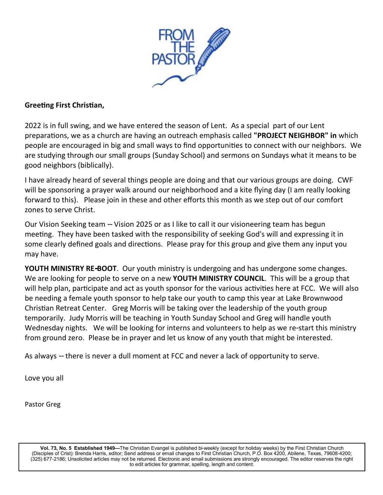

#### **Greeting First Christian,**

2022 is in full swing, and we have entered the season of Lent. As a special part of our Lent preparations, we as a church are having an outreach emphasis called **"PROJECT NEIGHBOR" in** which people are encouraged in big and small ways to find opportunities to connect with our neighbors. We are studying through our small groups (Sunday School) and sermons on Sundays what it means to be good neighbors (biblically).

I have already heard of several things people are doing and that our various groups are doing. CWF will be sponsoring a prayer walk around our neighborhood and a kite flying day (I am really looking forward to this). Please join in these and other efforts this month as we step out of our comfort zones to serve Christ.

Our Vision Seeking team -- Vision 2025 or as I like to call it our visioneering team has begun meeting. They have been tasked with the responsibility of seeking God's will and expressing it in some clearly defined goals and directions. Please pray for this group and give them any input you may have.

**YOUTH MINISTRY RE-BOOT**. Our youth ministry is undergoing and has undergone some changes. We are looking for people to serve on a new **YOUTH MINISTRY COUNCIL**. This will be a group that will help plan, participate and act as youth sponsor for the various activities here at FCC. We will also be needing a female youth sponsor to help take our youth to camp this year at Lake Brownwood Christian Retreat Center. Greg Morris will be taking over the leadership of the youth group temporarily. Judy Morris will be teaching in Youth Sunday School and Greg will handle youth Wednesday nights. We will be looking for interns and volunteers to help as we re-start this ministry from ground zero. Please be in prayer and let us know of any youth that might be interested.

As always -- there is never a dull moment at FCC and never a lack of opportunity to serve.

Love you all

Pastor Greg

**Vol. 73, No. 5 Established 1949—**The Christian Evangel is published bi-weekly (except for holiday weeks) by the First Christian Church (Disciples of Crist): Brenda Harris, editor; Send address or email changes to First Christian Church, P.O. Box 4200, Abilene, Texas, 79608-4200; (325) 677-2186; Unsolicited articles may not be returned. Electronic and email submissions are strongly encouraged. The editor reserves the right to edit articles for grammar, spelling, length and content.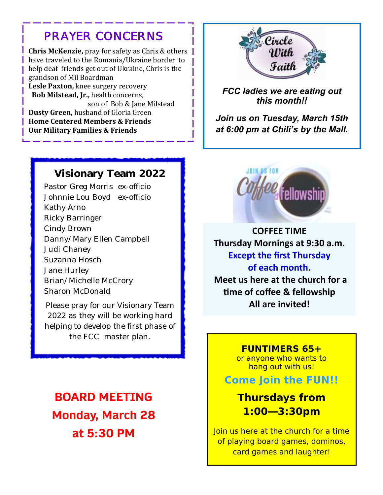## *PRAYER CONCERNS*

 **Chris McKenzie,** pray for safety as Chris & others have traveled to the Romania/Ukraine border to help deaf friends get out of Ukraine, Chris is the grandson of Mil Boardman  **Lesle Paxton,** knee surgery recovery  **Bob Milstead, Jr.,** health concerns, son of Bob & Jane Milstead **Dusty Green, husband of Gloria Green Home Centered Members & Friends Our Military Families & Friends**



*FCC ladies we are eating out this month!!*

*Join us on Tuesday, March 15th at 6:00 pm at Chili's by the Mall.*

#### **Visionary Team 2022**

Pastor Greg Morris ex-officio Johnnie Lou Boyd ex-officio Kathy Arno Ricky Barringer Cindy Brown Danny/Mary Ellen Campbell Judi Chaney Suzanna Hosch Jane Hurley Brian/Michelle McCrory Sharon McDonald

Please pray for our Visionary Team 2022 as they will be working hard helping to develop the first phase of the FCC master plan.

**BOARD MEETING Monday, March 28 at 5:30 PM**



**COFFEE TIME Thursday Mornings at 9:30 a.m. Except the first Thursday of each month. Meet us here at the church for a time of coffee & fellowship All are invited!**

> **FUNTIMERS 65+**  or anyone who wants to hang out with us!

**Come Join the FUN!!**

**Thursdays from 1:00—3:30pm** 

Join us here at the church for a time of playing board games, dominos, card games and laughter!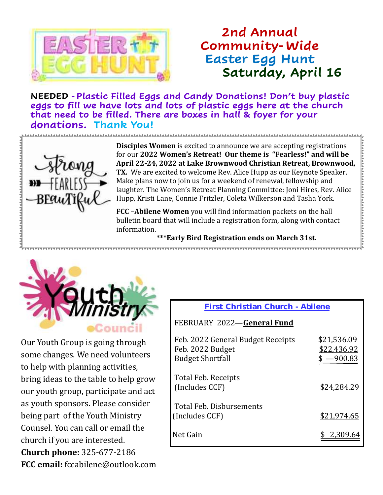

## **2nd Annual Community-Wide Easter Egg Hunt Saturday, April 16**

 **NEEDED -Plastic Filled Eggs and Candy Donations! Don't buy plastic eggs to fill we have lots and lots of plastic eggs here at the church that need to be filled. There are boxes in hall & foyer for your donations. Thank You!**



**Disciples Women** is excited to announce we are accepting registrations for our **2022 Women's Retreat! Our theme is "Fearless!" and will be April 22-24, 2022 at Lake Brownwood Christian Retreat, Brownwood, TX.** We are excited to welcome Rev. Alice Hupp as our Keynote Speaker. Make plans now to join us for a weekend of renewal, fellowship and laughter. The Women's Retreat Planning Committee: Joni Hires, Rev. Alice Hupp, Kristi Lane, Connie Fritzler, Coleta Wilkerson and Tasha York.

**FCC –Abilene Women** you will find information packets on the hall bulletin board that will include a registration form, along with contact information.

**\*\*\*Early Bird Registration ends on March 31st.**



Our Youth Group is going through some changes. We need volunteers to help with planning activities, bring ideas to the table to help grow our youth group, participate and act as youth sponsors. Please consider being part of the Youth Ministry Counsel. You can call or email the church if you are interested. **Church phone:** 325-677-2186 **FCC email:** fccabilene@outlook.com

#### **First Christian Church - Abilene**

#### FEBRUARY 2022—**General Fund**

| Feb. 2022 General Budget Receipts<br>Feb. 2022 Budget<br><b>Budget Shortfall</b> | \$21,536.09<br>\$22,436.92<br><u>–900.83</u> |
|----------------------------------------------------------------------------------|----------------------------------------------|
| Total Feb. Receipts<br>(Includes CCF)                                            | \$24,284.29                                  |
| Total Feb. Disbursements<br>(Includes CCF)                                       | \$21,974.65                                  |
| Net Gain                                                                         |                                              |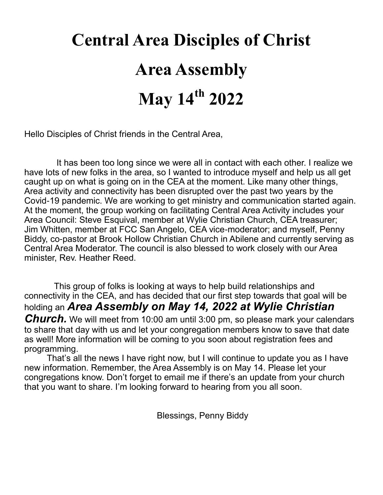# **Central Area Disciples of Christ Area Assembly May 14th 2022**

Hello Disciples of Christ friends in the Central Area,

 It has been too long since we were all in contact with each other. I realize we have lots of new folks in the area, so I wanted to introduce myself and help us all get caught up on what is going on in the CEA at the moment. Like many other things, Area activity and connectivity has been disrupted over the past two years by the Covid-19 pandemic. We are working to get ministry and communication started again. At the moment, the group working on facilitating Central Area Activity includes your Area Council: Steve Esquival, member at Wylie Christian Church, CEA treasurer; Jim Whitten, member at FCC San Angelo, CEA vice-moderator; and myself, Penny Biddy, co-pastor at Brook Hollow Christian Church in Abilene and currently serving as Central Area Moderator. The council is also blessed to work closely with our Area minister, Rev. Heather Reed.

 This group of folks is looking at ways to help build relationships and connectivity in the CEA, and has decided that our first step towards that goal will be holding an *Area Assembly on May 14, 2022 at Wylie Christian*  **Church.** We will meet from 10:00 am until 3:00 pm, so please mark your calendars to share that day with us and let your congregation members know to save that date as well! More information will be coming to you soon about registration fees and programming.

That's all the news I have right now, but I will continue to update you as I have new information. Remember, the Area Assembly is on May 14. Please let your congregations know. Don't forget to email me if there's an update from your church that you want to share. I'm looking forward to hearing from you all soon.

Blessings, Penny Biddy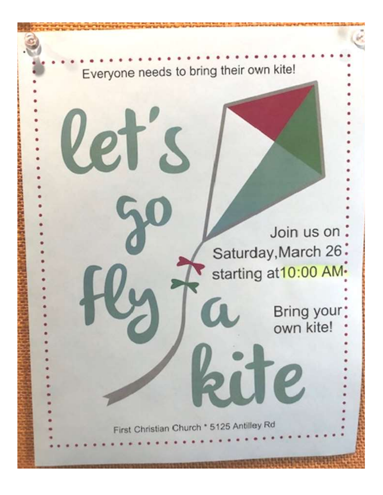